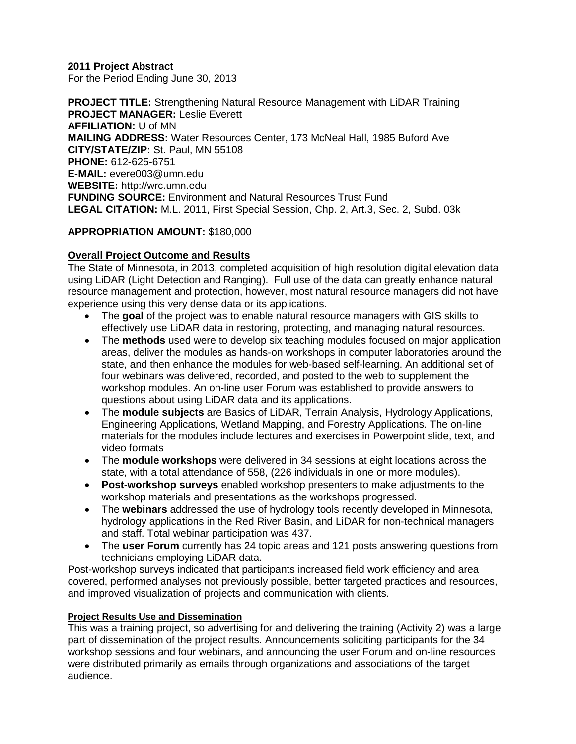**2011 Project Abstract**

For the Period Ending June 30, 2013

**PROJECT TITLE:** Strengthening Natural Resource Management with LiDAR Training **PROJECT MANAGER:** Leslie Everett **AFFILIATION:** U of MN **MAILING ADDRESS:** Water Resources Center, 173 McNeal Hall, 1985 Buford Ave **CITY/STATE/ZIP:** St. Paul, MN 55108 **PHONE:** 612-625-6751 **E-MAIL:** evere003@umn.edu **WEBSITE:** http://wrc.umn.edu **FUNDING SOURCE:** Environment and Natural Resources Trust Fund **LEGAL CITATION:** M.L. 2011, First Special Session, Chp. 2, Art.3, Sec. 2, Subd. 03k

## **APPROPRIATION AMOUNT:** \$180,000

## **Overall Project Outcome and Results**

The State of Minnesota, in 2013, completed acquisition of high resolution digital elevation data using LiDAR (Light Detection and Ranging). Full use of the data can greatly enhance natural resource management and protection, however, most natural resource managers did not have experience using this very dense data or its applications.

- The **goal** of the project was to enable natural resource managers with GIS skills to effectively use LiDAR data in restoring, protecting, and managing natural resources.
- The **methods** used were to develop six teaching modules focused on major application areas, deliver the modules as hands-on workshops in computer laboratories around the state, and then enhance the modules for web-based self-learning. An additional set of four webinars was delivered, recorded, and posted to the web to supplement the workshop modules. An on-line user Forum was established to provide answers to questions about using LiDAR data and its applications.
- The **module subjects** are Basics of LiDAR, Terrain Analysis, Hydrology Applications, Engineering Applications, Wetland Mapping, and Forestry Applications. The on-line materials for the modules include lectures and exercises in Powerpoint slide, text, and video formats
- The **module workshops** were delivered in 34 sessions at eight locations across the state, with a total attendance of 558, (226 individuals in one or more modules).
- **Post-workshop surveys** enabled workshop presenters to make adjustments to the workshop materials and presentations as the workshops progressed.
- The **webinars** addressed the use of hydrology tools recently developed in Minnesota, hydrology applications in the Red River Basin, and LiDAR for non-technical managers and staff. Total webinar participation was 437.
- The **user Forum** currently has 24 topic areas and 121 posts answering questions from technicians employing LiDAR data.

Post-workshop surveys indicated that participants increased field work efficiency and area covered, performed analyses not previously possible, better targeted practices and resources, and improved visualization of projects and communication with clients.

## **Project Results Use and Dissemination**

This was a training project, so advertising for and delivering the training (Activity 2) was a large part of dissemination of the project results. Announcements soliciting participants for the 34 workshop sessions and four webinars, and announcing the user Forum and on-line resources were distributed primarily as emails through organizations and associations of the target audience.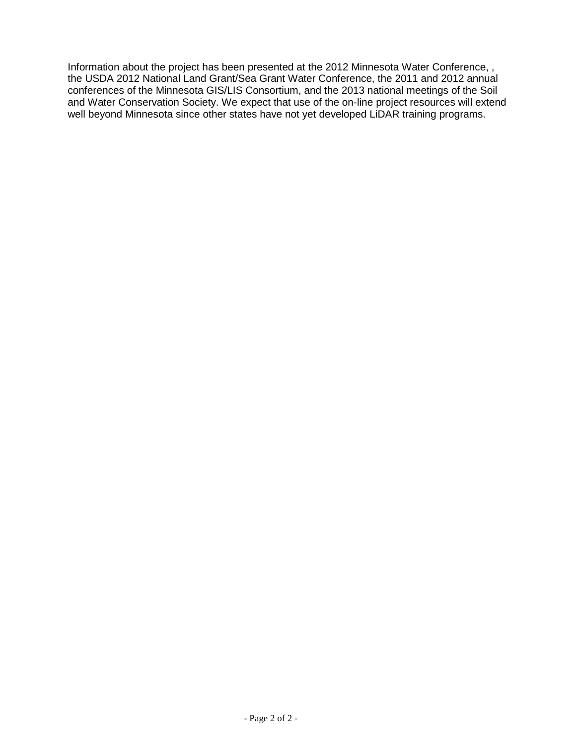Information about the project has been presented at the 2012 Minnesota Water Conference, , the USDA 2012 National Land Grant/Sea Grant Water Conference, the 2011 and 2012 annual conferences of the Minnesota GIS/LIS Consortium, and the 2013 national meetings of the Soil and Water Conservation Society. We expect that use of the on-line project resources will extend well beyond Minnesota since other states have not yet developed LiDAR training programs.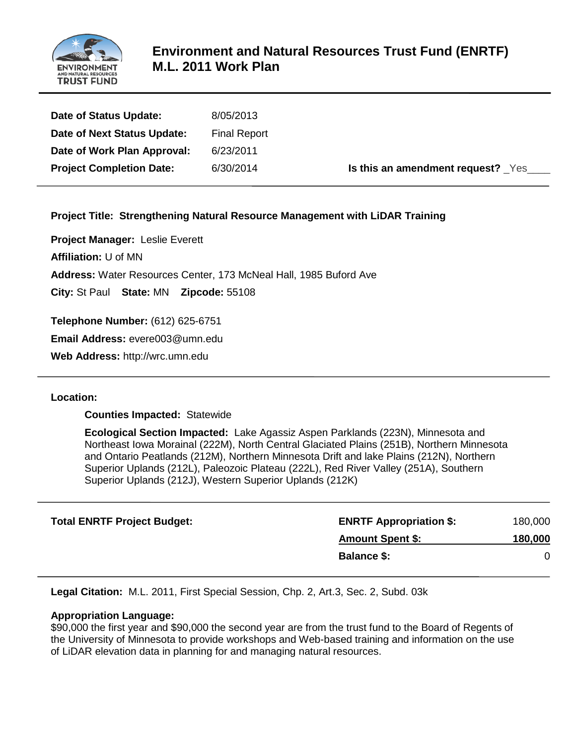

| Date of Status Update:          | 8/05/2013           |
|---------------------------------|---------------------|
| Date of Next Status Update:     | <b>Final Report</b> |
| Date of Work Plan Approval:     | 6/23/2011           |
| <b>Project Completion Date:</b> | 6/30/2014           |

**Is this an amendment request?**  $\gamma$ es\_\_\_\_

## **Project Title: Strengthening Natural Resource Management with LiDAR Training**

**Project Manager:** Leslie Everett **Affiliation:** U of MN

**Address:** Water Resources Center, 173 McNeal Hall, 1985 Buford Ave

**City:** St Paul **State:** MN **Zipcode:** 55108

**Telephone Number:** (612) 625-6751

**Email Address:** evere003@umn.edu

**Web Address:** http://wrc.umn.edu

## **Location:**

**Counties Impacted:** Statewide

**Ecological Section Impacted:** Lake Agassiz Aspen Parklands (223N), Minnesota and Northeast Iowa Morainal (222M), North Central Glaciated Plains (251B), Northern Minnesota and Ontario Peatlands (212M), Northern Minnesota Drift and lake Plains (212N), Northern Superior Uplands (212L), Paleozoic Plateau (222L), Red River Valley (251A), Southern Superior Uplands (212J), Western Superior Uplands (212K)

| <b>Total ENRTF Project Budget:</b> | <b>ENRTF Appropriation \$:</b> | 180,000 |
|------------------------------------|--------------------------------|---------|
|                                    | <b>Amount Spent \$:</b>        | 180,000 |
|                                    | <b>Balance \$:</b>             |         |

**Legal Citation:** M.L. 2011, First Special Session, Chp. 2, Art.3, Sec. 2, Subd. 03k

## **Appropriation Language:**

\$90,000 the first year and \$90,000 the second year are from the trust fund to the Board of Regents of the University of Minnesota to provide workshops and Web-based training and information on the use of LiDAR elevation data in planning for and managing natural resources.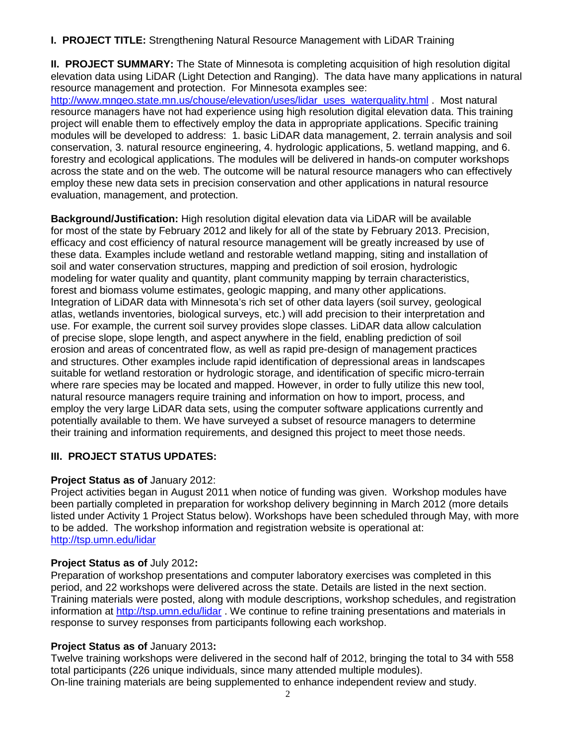**I. PROJECT TITLE:** Strengthening Natural Resource Management with LiDAR Training

**II. PROJECT SUMMARY:** The State of Minnesota is completing acquisition of high resolution digital elevation data using LiDAR (Light Detection and Ranging). The data have many applications in natural resource management and protection. For Minnesota examples see: [http://www.mngeo.state.mn.us/chouse/elevation/uses/lidar\\_uses\\_waterquality.html](http://www.mngeo.state.mn.us/chouse/elevation/uses/lidar_uses_waterquality.html) . Most natural resource managers have not had experience using high resolution digital elevation data. This training project will enable them to effectively employ the data in appropriate applications. Specific training modules will be developed to address: 1. basic LiDAR data management, 2. terrain analysis and soil conservation, 3. natural resource engineering, 4. hydrologic applications, 5. wetland mapping, and 6. forestry and ecological applications. The modules will be delivered in hands-on computer workshops across the state and on the web. The outcome will be natural resource managers who can effectively employ these new data sets in precision conservation and other applications in natural resource evaluation, management, and protection.

**Background/Justification:** High resolution digital elevation data via LiDAR will be available for most of the state by February 2012 and likely for all of the state by February 2013. Precision, efficacy and cost efficiency of natural resource management will be greatly increased by use of these data. Examples include wetland and restorable wetland mapping, siting and installation of soil and water conservation structures, mapping and prediction of soil erosion, hydrologic modeling for water quality and quantity, plant community mapping by terrain characteristics, forest and biomass volume estimates, geologic mapping, and many other applications. Integration of LiDAR data with Minnesota's rich set of other data layers (soil survey, geological atlas, wetlands inventories, biological surveys, etc.) will add precision to their interpretation and use. For example, the current soil survey provides slope classes. LiDAR data allow calculation of precise slope, slope length, and aspect anywhere in the field, enabling prediction of soil erosion and areas of concentrated flow, as well as rapid pre-design of management practices and structures. Other examples include rapid identification of depressional areas in landscapes suitable for wetland restoration or hydrologic storage, and identification of specific micro-terrain where rare species may be located and mapped. However, in order to fully utilize this new tool, natural resource managers require training and information on how to import, process, and employ the very large LiDAR data sets, using the computer software applications currently and potentially available to them. We have surveyed a subset of resource managers to determine their training and information requirements, and designed this project to meet those needs.

## **III. PROJECT STATUS UPDATES:**

## **Project Status as of January 2012:**

Project activities began in August 2011 when notice of funding was given. Workshop modules have been partially completed in preparation for workshop delivery beginning in March 2012 (more details listed under Activity 1 Project Status below). Workshops have been scheduled through May, with more to be added. The workshop information and registration website is operational at: <http://tsp.umn.edu/lidar>

## **Project Status as of** July 2012**:**

Preparation of workshop presentations and computer laboratory exercises was completed in this period, and 22 workshops were delivered across the state. Details are listed in the next section. Training materials were posted, along with module descriptions, workshop schedules, and registration information at<http://tsp.umn.edu/lidar>. We continue to refine training presentations and materials in response to survey responses from participants following each workshop.

# **Project Status as of** January 2013**:**

Twelve training workshops were delivered in the second half of 2012, bringing the total to 34 with 558 total participants (226 unique individuals, since many attended multiple modules). On-line training materials are being supplemented to enhance independent review and study.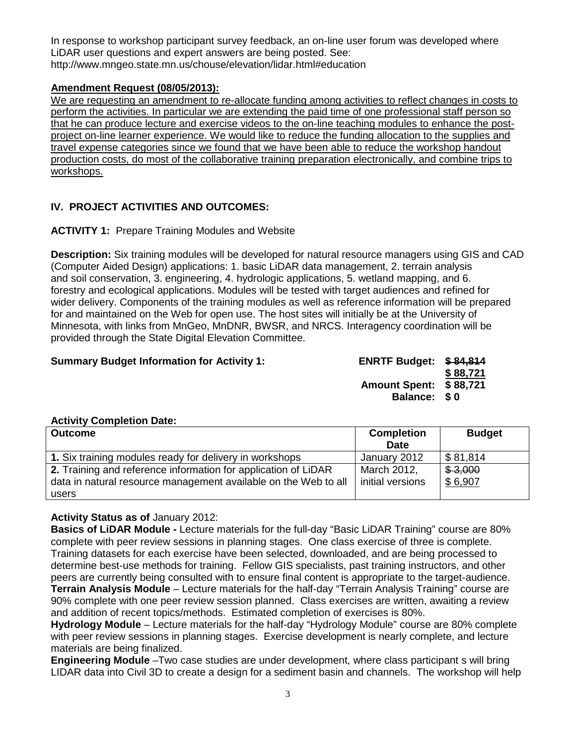In response to workshop participant survey feedback, an on-line user forum was developed where LiDAR user questions and expert answers are being posted. See: http://www.mngeo.state.mn.us/chouse/elevation/lidar.html#education

## **Amendment Request (08/05/2013):**

We are requesting an amendment to re-allocate funding among activities to reflect changes in costs to perform the activities. In particular we are extending the paid time of one professional staff person so that he can produce lecture and exercise videos to the on-line teaching modules to enhance the postproject on-line learner experience. We would like to reduce the funding allocation to the supplies and travel expense categories since we found that we have been able to reduce the workshop handout production costs, do most of the collaborative training preparation electronically, and combine trips to workshops.

# **IV. PROJECT ACTIVITIES AND OUTCOMES:**

## **ACTIVITY 1:** Prepare Training Modules and Website

**Description:** Six training modules will be developed for natural resource managers using GIS and CAD (Computer Aided Design) applications: 1. basic LiDAR data management, 2. terrain analysis and soil conservation, 3. engineering, 4. hydrologic applications, 5. wetland mapping, and 6. forestry and ecological applications. Modules will be tested with target audiences and refined for wider delivery. Components of the training modules as well as reference information will be prepared for and maintained on the Web for open use. The host sites will initially be at the University of Minnesota, with links from MnGeo, MnDNR, BWSR, and NRCS. Interagency coordination will be provided through the State Digital Elevation Committee.

## **Summary Budget Information for Activity 1: ENRTF Budget: \$ 84,814**

**\$ 88,721 Amount Spent: \$ 88,721 Balance: \$ 0**

# **Activity Completion Date:**

| <b>Outcome</b>                                                  | <b>Completion</b> | <b>Budget</b>          |
|-----------------------------------------------------------------|-------------------|------------------------|
|                                                                 | <b>Date</b>       |                        |
| 1. Six training modules ready for delivery in workshops         | January 2012      | $\frac{1}{2}$ \$81,814 |
| 2. Training and reference information for application of LiDAR  | March 2012,       | \$3,000                |
| data in natural resource management available on the Web to all | initial versions  | \$6,907                |
| users                                                           |                   |                        |

## **Activity Status as of** January 2012:

**Basics of LiDAR Module -** Lecture materials for the full-day "Basic LiDAR Training" course are 80% complete with peer review sessions in planning stages. One class exercise of three is complete. Training datasets for each exercise have been selected, downloaded, and are being processed to determine best-use methods for training. Fellow GIS specialists, past training instructors, and other peers are currently being consulted with to ensure final content is appropriate to the target-audience. **Terrain Analysis Module** – Lecture materials for the half-day "Terrain Analysis Training" course are 90% complete with one peer review session planned. Class exercises are written, awaiting a review and addition of recent topics/methods. Estimated completion of exercises is 80%.

**Hydrology Module** – Lecture materials for the half-day "Hydrology Module" course are 80% complete with peer review sessions in planning stages. Exercise development is nearly complete, and lecture materials are being finalized.

**Engineering Module** –Two case studies are under development, where class participant s will bring LIDAR data into Civil 3D to create a design for a sediment basin and channels. The workshop will help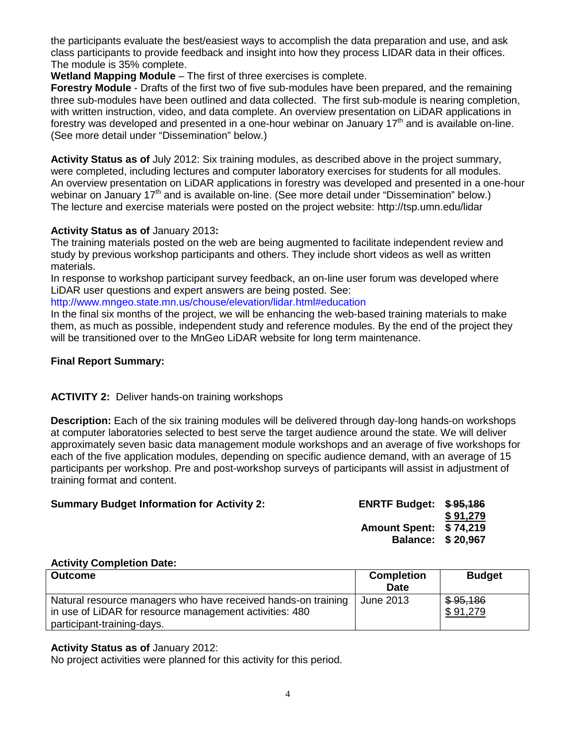the participants evaluate the best/easiest ways to accomplish the data preparation and use, and ask class participants to provide feedback and insight into how they process LIDAR data in their offices. The module is 35% complete.

**Wetland Mapping Module** – The first of three exercises is complete.

**Forestry Module** - Drafts of the first two of five sub-modules have been prepared, and the remaining three sub-modules have been outlined and data collected. The first sub-module is nearing completion, with written instruction, video, and data complete. An overview presentation on LiDAR applications in forestry was developed and presented in a one-hour webinar on January  $17<sup>th</sup>$  and is available on-line. (See more detail under "Dissemination" below.)

**Activity Status as of** July 2012: Six training modules, as described above in the project summary, were completed, including lectures and computer laboratory exercises for students for all modules. An overview presentation on LiDAR applications in forestry was developed and presented in a one-hour webinar on January 17<sup>th</sup> and is available on-line. (See more detail under "Dissemination" below.) The lecture and exercise materials were posted on the project website: http://tsp.umn.edu/lidar

## **Activity Status as of** January 2013**:**

The training materials posted on the web are being augmented to facilitate independent review and study by previous workshop participants and others. They include short videos as well as written materials.

In response to workshop participant survey feedback, an on-line user forum was developed where LiDAR user questions and expert answers are being posted. See:

<http://www.mngeo.state.mn.us/chouse/elevation/lidar.html#education>

In the final six months of the project, we will be enhancing the web-based training materials to make them, as much as possible, independent study and reference modules. By the end of the project they will be transitioned over to the MnGeo LiDAR website for long term maintenance.

#### **Final Report Summary:**

## **ACTIVITY 2:** Deliver hands-on training workshops

**Description:** Each of the six training modules will be delivered through day-long hands-on workshops at computer laboratories selected to best serve the target audience around the state. We will deliver approximately seven basic data management module workshops and an average of five workshops for each of the five application modules, depending on specific audience demand, with an average of 15 participants per workshop. Pre and post-workshop surveys of participants will assist in adjustment of training format and content.

| <b>Summary Budget Information for Activity 2:</b> | <b>ENRTF Budget: \$95,186</b> |          |
|---------------------------------------------------|-------------------------------|----------|
|                                                   |                               | \$91.279 |
|                                                   | <b>Amount Spent: \$74,219</b> |          |
|                                                   | <b>Balance: \$20,967</b>      |          |

#### **Activity Completion Date:**

| Outcome                                                       | <b>Completion</b> | <b>Budget</b> |
|---------------------------------------------------------------|-------------------|---------------|
|                                                               | Date              |               |
| Natural resource managers who have received hands-on training | June 2013         | \$95,186      |
| in use of LiDAR for resource management activities: 480       |                   | \$91,279      |
| participant-training-days.                                    |                   |               |

#### **Activity Status as of** January 2012:

No project activities were planned for this activity for this period.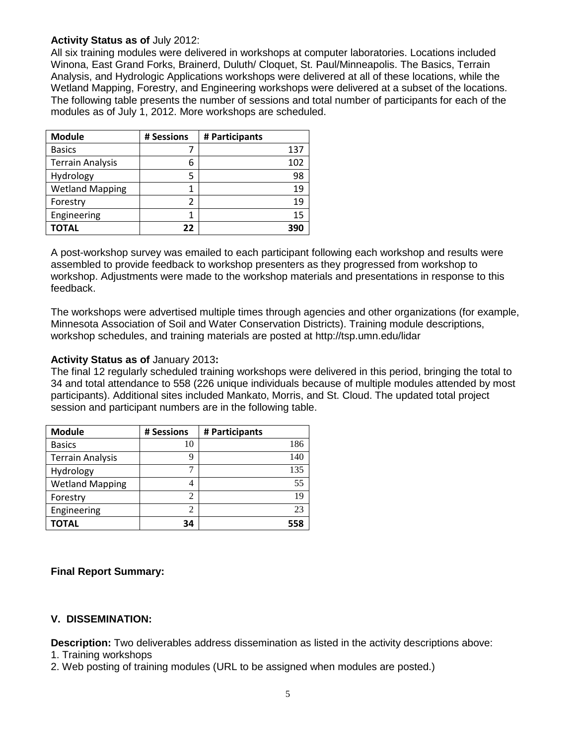#### **Activity Status as of** July 2012:

All six training modules were delivered in workshops at computer laboratories. Locations included Winona, East Grand Forks, Brainerd, Duluth/ Cloquet, St. Paul/Minneapolis. The Basics, Terrain Analysis, and Hydrologic Applications workshops were delivered at all of these locations, while the Wetland Mapping, Forestry, and Engineering workshops were delivered at a subset of the locations. The following table presents the number of sessions and total number of participants for each of the modules as of July 1, 2012. More workshops are scheduled.

| <b>Module</b>           | # Sessions | # Participants |
|-------------------------|------------|----------------|
| <b>Basics</b>           |            | 137            |
| <b>Terrain Analysis</b> | 6          | 102            |
| Hydrology               | 5          | 98             |
| <b>Wetland Mapping</b>  |            | 19             |
| Forestry                |            | 19             |
| Engineering             |            | 15             |
| TOTAL                   | 22         | 391            |

A post-workshop survey was emailed to each participant following each workshop and results were assembled to provide feedback to workshop presenters as they progressed from workshop to workshop. Adjustments were made to the workshop materials and presentations in response to this feedback.

The workshops were advertised multiple times through agencies and other organizations (for example, Minnesota Association of Soil and Water Conservation Districts). Training module descriptions, workshop schedules, and training materials are posted at http://tsp.umn.edu/lidar

#### **Activity Status as of** January 2013**:**

The final 12 regularly scheduled training workshops were delivered in this period, bringing the total to 34 and total attendance to 558 (226 unique individuals because of multiple modules attended by most participants). Additional sites included Mankato, Morris, and St. Cloud. The updated total project session and participant numbers are in the following table.

| <b>Module</b>           | # Sessions | # Participants |
|-------------------------|------------|----------------|
| <b>Basics</b>           | 10         | 186            |
| <b>Terrain Analysis</b> | 9          | 140            |
| Hydrology               | 7          | 135            |
| <b>Wetland Mapping</b>  |            | 55             |
| Forestry                | 2          | 19             |
| Engineering             | 2          | 23             |
| <b>TOTAL</b>            | 34         | 558            |

## **Final Report Summary:**

## **V. DISSEMINATION:**

**Description:** Two deliverables address dissemination as listed in the activity descriptions above:

- 1. Training workshops
- 2. Web posting of training modules (URL to be assigned when modules are posted.)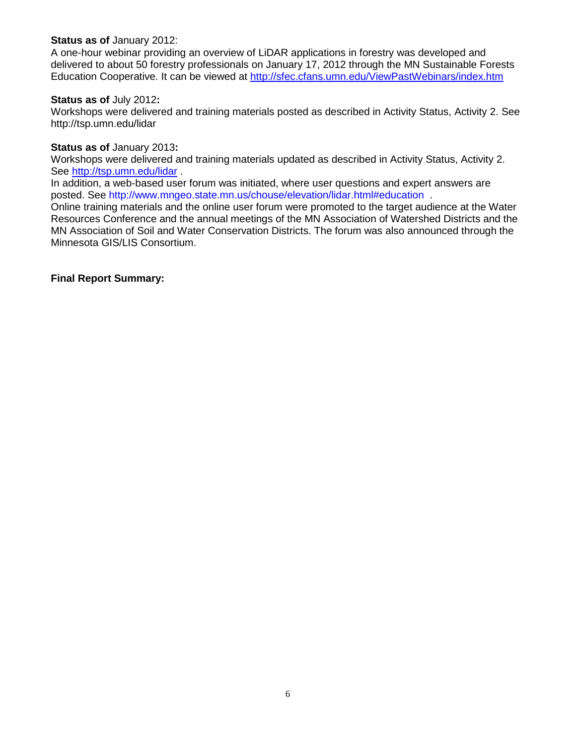#### **Status as of** January 2012:

A one-hour webinar providing an overview of LiDAR applications in forestry was developed and delivered to about 50 forestry professionals on January 17, 2012 through the MN Sustainable Forests Education Cooperative. It can be viewed at<http://sfec.cfans.umn.edu/ViewPastWebinars/index.htm>

#### **Status as of** July 2012**:**

Workshops were delivered and training materials posted as described in Activity Status, Activity 2. See http://tsp.umn.edu/lidar

#### **Status as of** January 2013**:**

Workshops were delivered and training materials updated as described in Activity Status, Activity 2. See<http://tsp.umn.edu/lidar> .

In addition, a web-based user forum was initiated, where user questions and expert answers are posted. See<http://www.mngeo.state.mn.us/chouse/elevation/lidar.html#education> .

Online training materials and the online user forum were promoted to the target audience at the Water Resources Conference and the annual meetings of the MN Association of Watershed Districts and the MN Association of Soil and Water Conservation Districts. The forum was also announced through the Minnesota GIS/LIS Consortium.

#### **Final Report Summary:**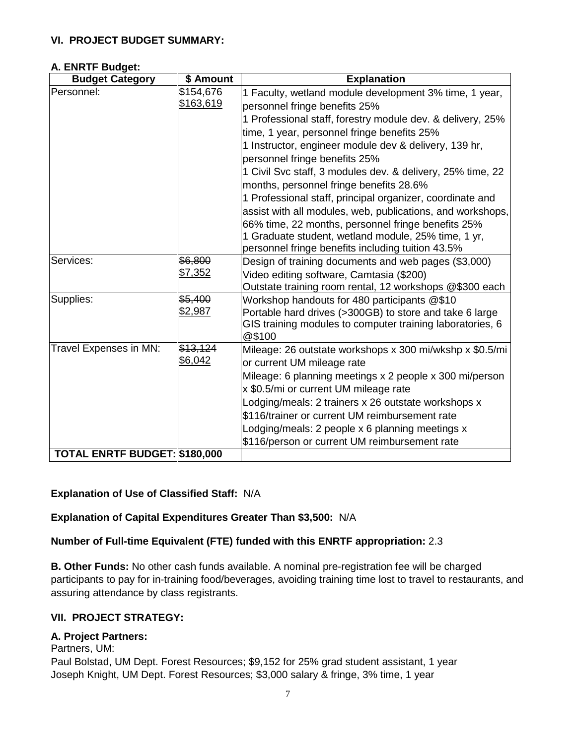## **VI. PROJECT BUDGET SUMMARY:**

#### **A. ENRTF Budget:**

| <b>Budget Category</b>        | \$ Amount      | <b>Explanation</b>                                                                                      |
|-------------------------------|----------------|---------------------------------------------------------------------------------------------------------|
| Personnel:                    | \$154,676      | 1 Faculty, wetland module development 3% time, 1 year,                                                  |
|                               | \$163,619      | personnel fringe benefits 25%                                                                           |
|                               |                | 1 Professional staff, forestry module dev. & delivery, 25%                                              |
|                               |                | time, 1 year, personnel fringe benefits 25%                                                             |
|                               |                | 1 Instructor, engineer module dev & delivery, 139 hr,                                                   |
|                               |                | personnel fringe benefits 25%                                                                           |
|                               |                | 1 Civil Svc staff, 3 modules dev. & delivery, 25% time, 22                                              |
|                               |                | months, personnel fringe benefits 28.6%                                                                 |
|                               |                | 1 Professional staff, principal organizer, coordinate and                                               |
|                               |                | assist with all modules, web, publications, and workshops,                                              |
|                               |                | 66% time, 22 months, personnel fringe benefits 25%                                                      |
|                               |                | 1 Graduate student, wetland module, 25% time, 1 yr,                                                     |
|                               |                | personnel fringe benefits including tuition 43.5%                                                       |
| Services:                     | \$6,800        | Design of training documents and web pages (\$3,000)                                                    |
|                               | \$7,352        | Video editing software, Camtasia (\$200)                                                                |
|                               | \$5,400        | Outstate training room rental, 12 workshops @\$300 each                                                 |
| Supplies:                     | <u>\$2,987</u> | Workshop handouts for 480 participants @\$10<br>Portable hard drives (>300GB) to store and take 6 large |
|                               |                | GIS training modules to computer training laboratories, 6                                               |
|                               |                | @\$100                                                                                                  |
| Travel Expenses in MN:        | \$13,124       | Mileage: 26 outstate workshops x 300 mi/wkshp x \$0.5/mi                                                |
|                               | \$6,042        | or current UM mileage rate                                                                              |
|                               |                | Mileage: 6 planning meetings x 2 people x 300 mi/person                                                 |
|                               |                | x \$0.5/mi or current UM mileage rate                                                                   |
|                               |                | Lodging/meals: 2 trainers x 26 outstate workshops x                                                     |
|                               |                | \$116/trainer or current UM reimbursement rate                                                          |
|                               |                | Lodging/meals: 2 people x 6 planning meetings x                                                         |
|                               |                | \$116/person or current UM reimbursement rate                                                           |
| TOTAL ENRTF BUDGET: \$180,000 |                |                                                                                                         |

## **Explanation of Use of Classified Staff:** N/A

## **Explanation of Capital Expenditures Greater Than \$3,500:** N/A

## **Number of Full-time Equivalent (FTE) funded with this ENRTF appropriation:** 2.3

**B. Other Funds:** No other cash funds available. A nominal pre-registration fee will be charged participants to pay for in-training food/beverages, avoiding training time lost to travel to restaurants, and assuring attendance by class registrants.

## **VII. PROJECT STRATEGY:**

## **A. Project Partners:**

Partners, UM:

Paul Bolstad, UM Dept. Forest Resources; \$9,152 for 25% grad student assistant, 1 year Joseph Knight, UM Dept. Forest Resources; \$3,000 salary & fringe, 3% time, 1 year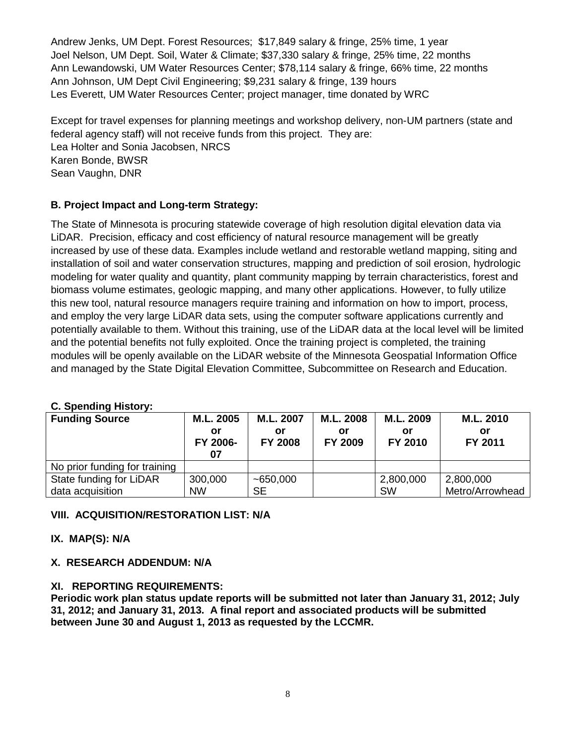Andrew Jenks, UM Dept. Forest Resources; \$17,849 salary & fringe, 25% time, 1 year Joel Nelson, UM Dept. Soil, Water & Climate; \$37,330 salary & fringe, 25% time, 22 months Ann Lewandowski, UM Water Resources Center; \$78,114 salary & fringe, 66% time, 22 months Ann Johnson, UM Dept Civil Engineering; \$9,231 salary & fringe, 139 hours Les Everett, UM Water Resources Center; project manager, time donated by WRC

Except for travel expenses for planning meetings and workshop delivery, non-UM partners (state and federal agency staff) will not receive funds from this project. They are: Lea Holter and Sonia Jacobsen, NRCS Karen Bonde, BWSR Sean Vaughn, DNR

# **B. Project Impact and Long-term Strategy:**

The State of Minnesota is procuring statewide coverage of high resolution digital elevation data via LiDAR. Precision, efficacy and cost efficiency of natural resource management will be greatly increased by use of these data. Examples include wetland and restorable wetland mapping, siting and installation of soil and water conservation structures, mapping and prediction of soil erosion, hydrologic modeling for water quality and quantity, plant community mapping by terrain characteristics, forest and biomass volume estimates, geologic mapping, and many other applications. However, to fully utilize this new tool, natural resource managers require training and information on how to import, process, and employ the very large LiDAR data sets, using the computer software applications currently and potentially available to them. Without this training, use of the LiDAR data at the local level will be limited and the potential benefits not fully exploited. Once the training project is completed, the training modules will be openly available on the LiDAR website of the Minnesota Geospatial Information Office and managed by the State Digital Elevation Committee, Subcommittee on Research and Education.

# **C. Spending History:**

| <b>Funding Source</b>         | M.L. 2005<br>or<br>FY 2006-<br>07 | M.L. 2007<br>or<br><b>FY 2008</b> | M.L. 2008<br>or<br>FY 2009 | M.L. 2009<br>or<br>FY 2010 | M.L. 2010<br>or<br>FY 2011 |
|-------------------------------|-----------------------------------|-----------------------------------|----------------------------|----------------------------|----------------------------|
| No prior funding for training |                                   |                                   |                            |                            |                            |
| State funding for LiDAR       | 300,000                           | ~100,000                          |                            | 2,800,000                  | 2,800,000                  |
| data acquisition              | <b>NW</b>                         | <b>SE</b>                         |                            | <b>SW</b>                  | Metro/Arrowhead            |

# **VIII. ACQUISITION/RESTORATION LIST: N/A**

## **IX. MAP(S): N/A**

## **X. RESEARCH ADDENDUM: N/A**

## **XI. REPORTING REQUIREMENTS:**

**Periodic work plan status update reports will be submitted not later than January 31, 2012; July 31, 2012; and January 31, 2013. A final report and associated products will be submitted between June 30 and August 1, 2013 as requested by the LCCMR.**